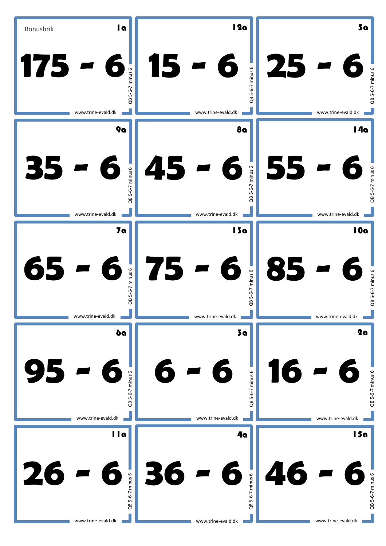